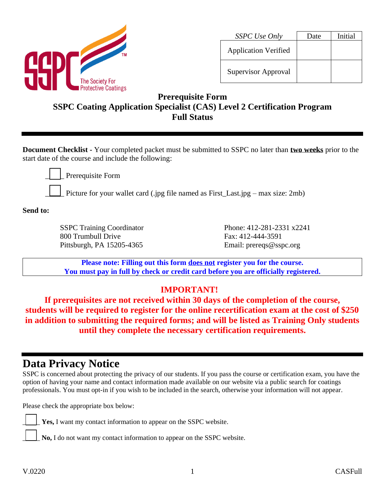

| SSPC Use Only               | Date | Initial |
|-----------------------------|------|---------|
| <b>Application Verified</b> |      |         |
| <b>Supervisor Approval</b>  |      |         |

### **Prerequisite Form SSPC Coating Application Specialist (CAS) Level 2 Certification Program Full Status**

**Document Checklist -** Your completed packet must be submitted to SSPC no later than **two weeks** prior to the start date of the course and include the following:

Prerequisite Form

Picture for your wallet card (.jpg file named as First\_Last.jpg – max size: 2mb)

**Send to:**

SSPC Training Coordinator 800 Trumbull Drive Pittsburgh, PA 15205-4365

Phone: 412-281-2331 x2241 Fax: 412-444-3591 Email: prereqs@sspc.org

**Please note: Filling out this form does not register you for the course. You must pay in full by check or credit card before you are officially registered.**

### **IMPORTANT!**

**If prerequisites are not received within 30 days of the completion of the course, students will be required to register for the online recertification exam at the cost of \$250 in addition to submitting the required forms; and will be listed as Training Only students until they complete the necessary certification requirements.**

# **Data Privacy Notice**

SSPC is concerned about protecting the privacy of our students. If you pass the course or certification exam, you have the option of having your name and contact information made available on our website via a public search for coatings professionals. You must opt-in if you wish to be included in the search, otherwise your information will not appear.

Please check the appropriate box below:

Yes, I want my contact information to appear on the SSPC website.

No, I do not want my contact information to appear on the SSPC website.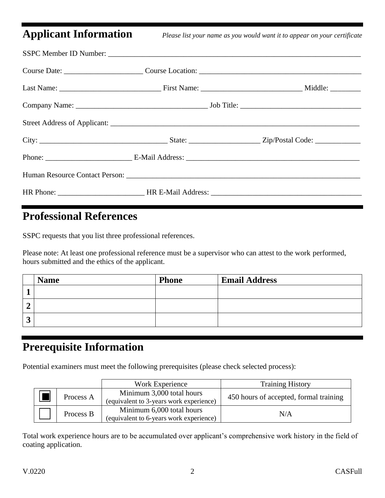**Applicant Information** *Please list your name as you would want it to appear on your certificate*

### **Professional References**

SSPC requests that you list three professional references.

Please note: At least one professional reference must be a supervisor who can attest to the work performed, hours submitted and the ethics of the applicant.

|   | <b>Name</b> | <b>Phone</b> | <b>Email Address</b> |
|---|-------------|--------------|----------------------|
|   |             |              |                      |
|   |             |              |                      |
| ີ |             |              |                      |

### **Prerequisite Information**

Potential examiners must meet the following prerequisites (please check selected process):

|           | Work Experience                                                      | <b>Training History</b>                |
|-----------|----------------------------------------------------------------------|----------------------------------------|
| Process A | Minimum 3,000 total hours<br>(equivalent to 3-years work experience) | 450 hours of accepted, formal training |
| Process B | Minimum 6,000 total hours<br>(equivalent to 6-years work experience) | N/A                                    |

Total work experience hours are to be accumulated over applicant's comprehensive work history in the field of coating application.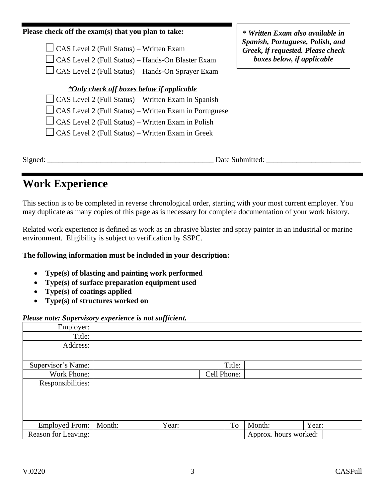#### **Please check off the exam(s) that you plan to take:**

 $\Box$  CAS Level 2 (Full Status) – Written Exam  $\Box$  CAS Level 2 (Full Status) – Hands-On Blaster Exam  $\Box$  CAS Level 2 (Full Status) – Hands-On Sprayer Exam

*\*Only check off boxes below if applicable*

 $\Box$  CAS Level 2 (Full Status) – Written Exam in Spanish  $\Box$  CAS Level 2 (Full Status) – Written Exam in Portuguese

 $\Box$  CAS Level 2 (Full Status) – Written Exam in Polish

 $\Box$  CAS Level 2 (Full Status) – Written Exam in Greek

Signed: \_\_\_\_\_\_\_\_\_\_\_\_\_\_\_\_\_\_\_\_\_\_\_\_\_\_\_\_\_\_\_\_\_\_\_\_\_\_\_\_\_\_\_\_ Date Submitted: \_\_\_\_\_\_\_\_\_\_\_\_\_\_\_\_\_\_\_\_\_\_\_\_\_

# **Work Experience**

This section is to be completed in reverse chronological order, starting with your most current employer. You may duplicate as many copies of this page as is necessary for complete documentation of your work history.

Related work experience is defined as work as an abrasive blaster and spray painter in an industrial or marine environment. Eligibility is subject to verification by SSPC.

### **The following information must be included in your description:**

- **Type(s) of blasting and painting work performed**
- **Type(s) of surface preparation equipment used**
- **Type(s) of coatings applied**
- **Type(s) of structures worked on**

#### *Please note: Supervisory experience is not sufficient.*

| Employer:             |        |       |             |        |                       |       |
|-----------------------|--------|-------|-------------|--------|-----------------------|-------|
| Title:                |        |       |             |        |                       |       |
| Address:              |        |       |             |        |                       |       |
|                       |        |       |             |        |                       |       |
| Supervisor's Name:    |        |       |             | Title: |                       |       |
| Work Phone:           |        |       | Cell Phone: |        |                       |       |
| Responsibilities:     |        |       |             |        |                       |       |
|                       |        |       |             |        |                       |       |
|                       |        |       |             |        |                       |       |
|                       |        |       |             |        |                       |       |
|                       |        |       |             |        |                       |       |
| <b>Employed From:</b> | Month: | Year: |             | To     | Month:                | Year: |
| Reason for Leaving:   |        |       |             |        | Approx. hours worked: |       |

*\* Written Exam also available in Spanish, Portuguese, Polish, and Greek, if requested. Please check boxes below, if applicable*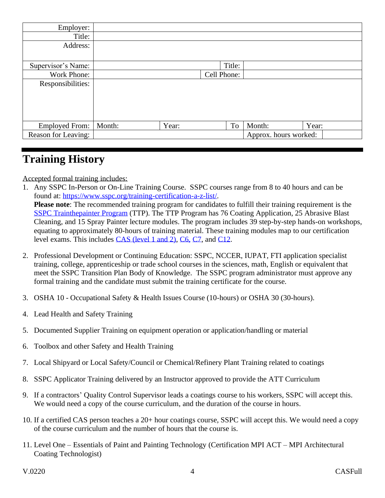| Employer:             |        |       |             |                       |       |
|-----------------------|--------|-------|-------------|-----------------------|-------|
| Title:                |        |       |             |                       |       |
| Address:              |        |       |             |                       |       |
|                       |        |       |             |                       |       |
| Supervisor's Name:    |        |       | Title:      |                       |       |
| Work Phone:           |        |       | Cell Phone: |                       |       |
| Responsibilities:     |        |       |             |                       |       |
|                       |        |       |             |                       |       |
|                       |        |       |             |                       |       |
|                       |        |       |             |                       |       |
|                       |        |       |             |                       |       |
| <b>Employed From:</b> | Month: | Year: | To          | Month:                | Year: |
| Reason for Leaving:   |        |       |             | Approx. hours worked: |       |
|                       |        |       |             |                       |       |

# **Training History**

Accepted formal training includes:

1. Any SSPC In-Person or On-Line Training Course. SSPC courses range from 8 to 40 hours and can be found at: [https://www.sspc.org/training-certification-a-z-list/.](https://www.sspc.org/training-certification-a-z-list/) **Please note**: The recommended training program for candidates to fulfill their training requirement is the SSPC [Trainthepainter](https://www.sspc.org/trainthepainter/) Program (TTP). The TTP Program has 76 Coating Application, 25 Abrasive Blast Cleaning, and 15 Spray Painter lecture modules. The program includes 39 step-by-step hands-on workshops,

equating to approximately 80-hours of training material. These training modules map to our certification level exams. This includes [CAS \(level 1 and 2\),](https://www.sspc.org/coating-application-specialist-certification-cas/) [C6,](https://www.sspc.org/surface-preparation-and-paint-application-for-power-tool-cleaning-operators-and-brush-and-roll-paint-applicators-c6/) [C7,](https://www.sspc.org/abrasive-blasting-program-c7-2/) and [C12.](https://www.sspc.org/spray-application-basics-c12/)

- 2. Professional Development or Continuing Education: SSPC, NCCER, IUPAT, FTI application specialist training, college, apprenticeship or trade school courses in the sciences, math, English or equivalent that meet the SSPC Transition Plan Body of Knowledge. The SSPC program administrator must approve any formal training and the candidate must submit the training certificate for the course.
- 3. OSHA 10 Occupational Safety & Health Issues Course (10-hours) or OSHA 30 (30-hours).
- 4. Lead Health and Safety Training
- 5. Documented Supplier Training on equipment operation or application/handling or material
- 6. Toolbox and other Safety and Health Training
- 7. Local Shipyard or Local Safety/Council or Chemical/Refinery Plant Training related to coatings
- 8. SSPC Applicator Training delivered by an Instructor approved to provide the ATT Curriculum
- 9. If a contractors' Quality Control Supervisor leads a coatings course to his workers, SSPC will accept this. We would need a copy of the course curriculum, and the duration of the course in hours.
- 10. If a certified CAS person teaches a 20+ hour coatings course, SSPC will accept this. We would need a copy of the course curriculum and the number of hours that the course is.
- 11. Level One Essentials of Paint and Painting Technology (Certification MPI ACT MPI Architectural Coating Technologist)